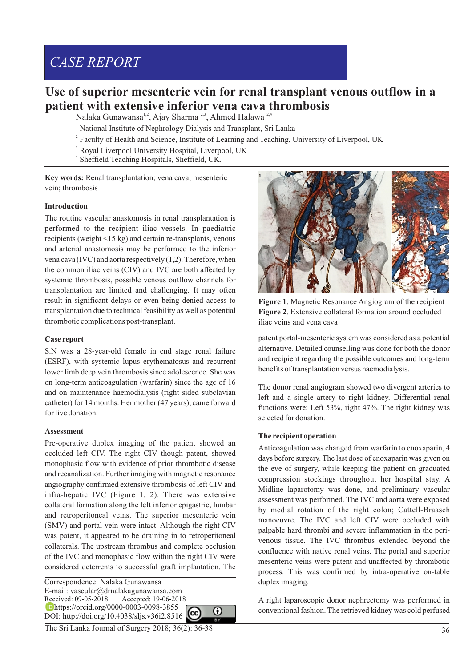# *CASE REPORT*

# **Use of superior mesenteric vein for renal transplant venous outflow in a patient with extensive inferior vena cava thrombosis**

Nalaka Gunawansa<sup>1,2</sup>, Ajay Sharma <sup>2,3</sup>, Ahmed Halawa <sup>2,4</sup>

- <sup>1</sup> National Institute of Nephrology Dialysis and Transplant, Sri Lanka
- <sup>2</sup> Faculty of Health and Science, Institute of Learning and Teaching, University of Liverpool, UK
- 3 Royal Liverpool University Hospital, Liverpool, UK
- 4 Sheffield Teaching Hospitals, Sheffield, UK.

**Key words:** Renal transplantation; vena cava; mesenteric vein; thrombosis

#### **Introduction**

The routine vascular anastomosis in renal transplantation is performed to the recipient iliac vessels. In paediatric recipients (weight <15 kg) and certain re-transplants, venous and arterial anastomosis may be performed to the inferior vena cava (IVC) and aorta respectively (1,2). Therefore, when the common iliac veins (CIV) and IVC are both affected by systemic thrombosis, possible venous outflow channels for transplantation are limited and challenging. It may often result in significant delays or even being denied access to transplantation due to technical feasibility as well as potential thrombotic complications post-transplant.

#### **Case report**

S.N was a 28-year-old female in end stage renal failure (ESRF), with systemic lupus erythematosus and recurrent lower limb deep vein thrombosis since adolescence. She was on long-term anticoagulation (warfarin) since the age of 16 and on maintenance haemodialysis (right sided subclavian catheter) for 14 months. Her mother (47 years), came forward for live donation.

#### **Assessment**

Pre-operative duplex imaging of the patient showed an occluded left CIV. The right CIV though patent, showed monophasic flow with evidence of prior thrombotic disease and recanalization. Further imaging with magnetic resonance angiography confirmed extensive thrombosis of left CIV and infra-hepatic IVC (Figure 1, 2). There was extensive collateral formation along the left inferior epigastric, lumbar and retroperitoneal veins. The superior mesenteric vein (SMV) and portal vein were intact. Although the right CIV was patent, it appeared to be draining in to retroperitoneal collaterals. The upstream thrombus and complete occlusion of the IVC and monophasic flow within the right CIV were considered deterrents to successful graft implantation. The

Correspondence: Nalaka Gunawansa E-mail: vascular@drnalakagunawansa.com Accepted: 19-06-2018 **b**https://orcid.org/0000-0003-0098-3855 DOI: http://doi.org/10.4038/sljs.v36i2.8516







**Figure 1**. Magnetic Resonance Angiogram of the recipient **Figure 2**. Extensive collateral formation around occluded iliac veins and vena cava

patent portal-mesenteric system was considered as a potential alternative. Detailed counselling was done for both the donor and recipient regarding the possible outcomes and long-term benefits of transplantation versus haemodialysis.

The donor renal angiogram showed two divergent arteries to left and a single artery to right kidney. Differential renal functions were; Left 53%, right 47%. The right kidney was selected for donation.

#### **The recipient operation**

Anticoagulation was changed from warfarin to enoxaparin, 4 days before surgery. The last dose of enoxaparin was given on the eve of surgery, while keeping the patient on graduated compression stockings throughout her hospital stay. A Midline laparotomy was done, and preliminary vascular assessment was performed. The IVC and aorta were exposed by medial rotation of the right colon; Cattell-Braasch manoeuvre. The IVC and left CIV were occluded with palpable hard thrombi and severe inflammation in the perivenous tissue. The IVC thrombus extended beyond the confluence with native renal veins. The portal and superior mesenteric veins were patent and unaffected by thrombotic process. This was confirmed by intra-operative on-table duplex imaging.

A right laparoscopic donor nephrectomy was performed in conventional fashion. The retrieved kidney was cold perfused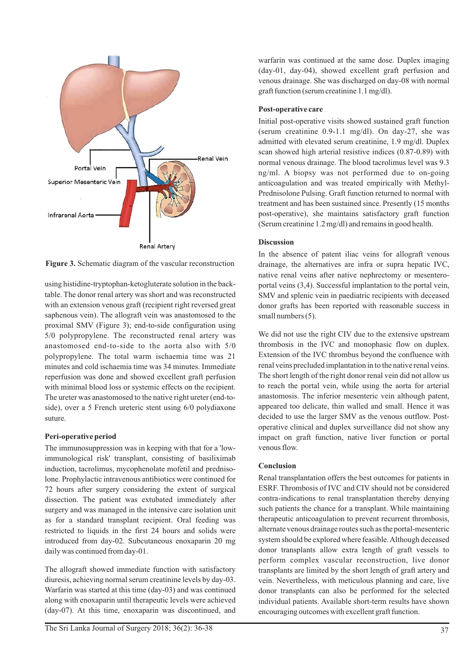

**Figure 3.** Schematic diagram of the vascular reconstruction

using histidine-tryptophan-ketogluterate solution in the backtable. The donor renal artery was short and was reconstructed with an extension venous graft (recipient right reversed great saphenous vein). The allograft vein was anastomosed to the proximal SMV (Figure 3); end-to-side configuration using 5/0 polypropylene. The reconstructed renal artery was anastomosed end-to-side to the aorta also with 5/0 polypropylene. The total warm ischaemia time was 21 minutes and cold ischaemia time was 34 minutes. Immediate reperfusion was done and showed excellent graft perfusion with minimal blood loss or systemic effects on the recipient. The ureter was anastomosed to the native right ureter (end-toside), over a 5 French ureteric stent using 6/0 polydiaxone suture.

## **Peri-operative period**

The immunosuppression was in keeping with that for a 'lowimmunological risk' transplant, consisting of basiliximab induction, tacrolimus, mycophenolate mofetil and prednisolone. Prophylactic intravenous antibiotics were continued for 72 hours after surgery considering the extent of surgical dissection. The patient was extubated immediately after surgery and was managed in the intensive care isolation unit as for a standard transplant recipient. Oral feeding was restricted to liquids in the first 24 hours and solids were introduced from day-02. Subcutaneous enoxaparin 20 mg daily was continued from day-01.

The allograft showed immediate function with satisfactory diuresis, achieving normal serum creatinine levels by day-03. Warfarin was started at this time (day-03) and was continued along with enoxaparin until therapeutic levels were achieved (day-07). At this time, enoxaparin was discontinued, and

warfarin was continued at the same dose. Duplex imaging (day-01, day-04), showed excellent graft perfusion and venous drainage. She was discharged on day-08 with normal graft function (serum creatinine 1.1 mg/dl).

# **Post-operative care**

Initial post-operative visits showed sustained graft function (serum creatinine 0.9-1.1 mg/dl). On day-27, she was admitted with elevated serum creatinine, 1.9 mg/dl. Duplex scan showed high arterial resistive indices (0.87-0.89) with normal venous drainage. The blood tacrolimus level was 9.3 ng/ml. A biopsy was not performed due to on-going anticoagulation and was treated empirically with Methyl-Prednisolone Pulsing. Graft function returned to normal with treatment and has been sustained since. Presently (15 months post-operative), she maintains satisfactory graft function (Serum creatinine 1.2 mg/dl) and remains in good health.

# **Discussion**

In the absence of patent iliac veins for allograft venous drainage, the alternatives are infra or supra hepatic IVC, native renal veins after native nephrectomy or mesenteroportal veins (3,4). Successful implantation to the portal vein, SMV and splenic vein in paediatric recipients with deceased donor grafts has been reported with reasonable success in small numbers (5).

We did not use the right CIV due to the extensive upstream thrombosis in the IVC and monophasic flow on duplex. Extension of the IVC thrombus beyond the confluence with renal veins precluded implantation in to the native renal veins. The short length of the right donor renal vein did not allow us to reach the portal vein, while using the aorta for arterial anastomosis. The inferior mesenteric vein although patent, appeared too delicate, thin walled and small. Hence it was decided to use the larger SMV as the venous outflow. Postoperative clinical and duplex surveillance did not show any impact on graft function, native liver function or portal venous flow.

# **Conclusion**

Renal transplantation offers the best outcomes for patients in ESRF. Thrombosis of IVC and CIV should not be considered contra-indications to renal transplantation thereby denying such patients the chance for a transplant. While maintaining therapeutic anticoagulation to prevent recurrent thrombosis, alternate venous drainage routes such as the portal-mesenteric system should be explored where feasible. Although deceased donor transplants allow extra length of graft vessels to perform complex vascular reconstruction, live donor transplants are limited by the short length of graft artery and vein. Nevertheless, with meticulous planning and care, live donor transplants can also be performed for the selected individual patients. Available short-term results have shown encouraging outcomes with excellent graft function.